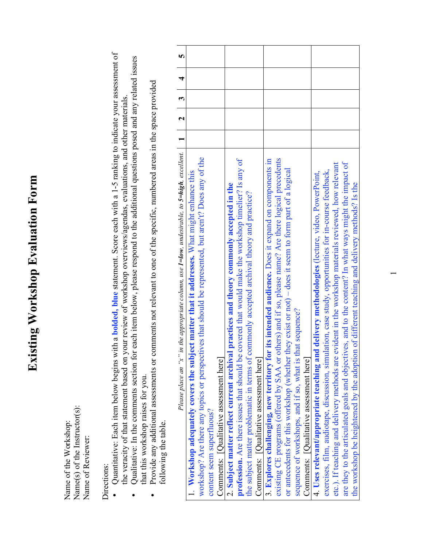## **Existing Workshop Evaluation Form Existing Workshop Evaluation Form**

Name(s) of the Instructor(s): Name(s) of the Instructor(s):<br>Name of  $R_{\text{res}}$ Name of the Workshop: Name of the Workshop:<br>Name(a) of the Lacture Name of Reviewer: Name of Reviewer:

- Directions:<br>
[] Quantitative: Each item below begins with a **bolded, blue** statement. Score each with a 1-5 ranking to indicate your assessment of Quantitative: Each item below begins with a **bolded, blue** statement. Score each with a 1-5 ranking to indicate your assessment of the veracity of that statement based on your review of workshop overviews/agendas, evaluations, and other materials. ∞
	- Qualitative: In the comments section for each item below, please respond to the additional questions posed and any related issues  $\Box$  Qualitative: In the comments section for each item below, please respond to the additional questions posed and any related issues the veracity of that statement based on your review of workshop overviews/agendas, evaluations, and other materials.<br>Our literature to the community continuation of the contraction of the contraction of the contraction of that this workshop raises for you. that this workshop raises for you. ∞
		- Provide any additional assessments or comments not relevant to one of the specific, numbered areas in the space provided  $\prod_{c \text{prime any additional assessments or comments not relevant to one of the specific, numbered areas in the space provided}$ following the table. following the table. ∞

| LF.                                                                                                                     |                                                                                                                                                                                                                                                                               |                                                                                                                                                                                                                                                                                                                                              |                                                                                                                                                                                                                                                                                                                                                                                                                                |                                                                                                                                                                                                                                                                                                                                                                                                                                                                                                                              |
|-------------------------------------------------------------------------------------------------------------------------|-------------------------------------------------------------------------------------------------------------------------------------------------------------------------------------------------------------------------------------------------------------------------------|----------------------------------------------------------------------------------------------------------------------------------------------------------------------------------------------------------------------------------------------------------------------------------------------------------------------------------------------|--------------------------------------------------------------------------------------------------------------------------------------------------------------------------------------------------------------------------------------------------------------------------------------------------------------------------------------------------------------------------------------------------------------------------------|------------------------------------------------------------------------------------------------------------------------------------------------------------------------------------------------------------------------------------------------------------------------------------------------------------------------------------------------------------------------------------------------------------------------------------------------------------------------------------------------------------------------------|
| $\overline{4}$                                                                                                          |                                                                                                                                                                                                                                                                               |                                                                                                                                                                                                                                                                                                                                              |                                                                                                                                                                                                                                                                                                                                                                                                                                |                                                                                                                                                                                                                                                                                                                                                                                                                                                                                                                              |
|                                                                                                                         |                                                                                                                                                                                                                                                                               |                                                                                                                                                                                                                                                                                                                                              |                                                                                                                                                                                                                                                                                                                                                                                                                                |                                                                                                                                                                                                                                                                                                                                                                                                                                                                                                                              |
|                                                                                                                         |                                                                                                                                                                                                                                                                               |                                                                                                                                                                                                                                                                                                                                              |                                                                                                                                                                                                                                                                                                                                                                                                                                |                                                                                                                                                                                                                                                                                                                                                                                                                                                                                                                              |
|                                                                                                                         |                                                                                                                                                                                                                                                                               |                                                                                                                                                                                                                                                                                                                                              |                                                                                                                                                                                                                                                                                                                                                                                                                                |                                                                                                                                                                                                                                                                                                                                                                                                                                                                                                                              |
| in the appropriate column, use $I = low$ , undesirable, to $S = high$ , excellent. 1 1 2 3 3<br>Please place an " $x$ " | workshop? Are there any topics or perspectives that should be represented, but aren't? Does any of the<br>1. Workshop adequately covers the subject matter that it addresses. What might enhance this<br>Comments: [Qualitative assessment here]<br>content seem superfluous? | covered that would make the workshop timelier? Is any of<br>2. Subject matter reflect current archival practices and theory commonly accepted in the<br>the subject matter problematic in terms of commonly accepted archival theory and practice?<br>profession. Are there issues that should be<br>Comments: [Qualitative assessment here] | existing CE programs (offered by SAA or others) and if so, please name? Are there logical precedents<br>3. Explores challenging, new territory for its intended audience. Does it expand on components in<br>they exist or not) $-$ does it seem to form part of a logical<br>sequence of workshops, and if so, what is that sequence?<br>or antecedents for this workshop (whether<br>Comments: [Qualitative assessment here] | are they to the articulated goals and objectives, and to the content? In what ways might the impact of<br>evident in the workshop materials reviewed, how relevant<br>exercises, film, audiotape, discussion, simulation, case study, opportunities for in-course feedback,<br>4. Uses relevant/appropriate teaching and delivery methodologies (lecture, video, PowerPoint,<br>the workshop be heightened by the adoption of different teaching and delivery methods? Is the<br>etc.). If teaching and delivery methods are |